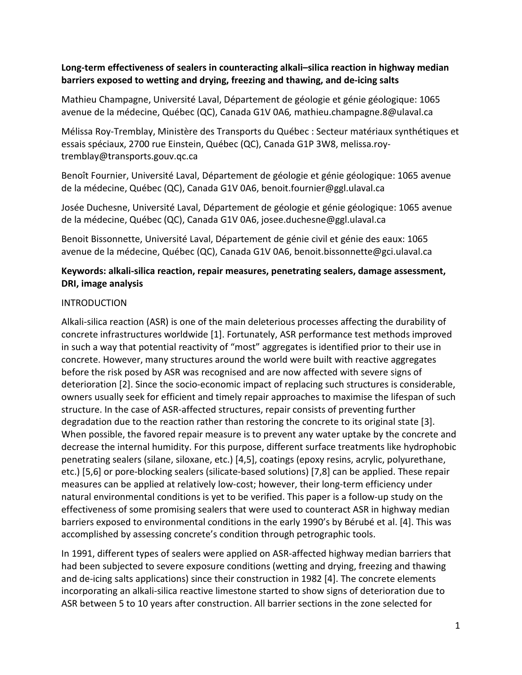# **Long-term effectiveness of sealers in counteracting alkali–silica reaction in highway median barriers exposed to wetting and drying, freezing and thawing, and de-icing salts**

Mathieu Champagne, Université Laval, Département de géologie et génie géologique: 1065 avenue de la médecine, Québec (QC), Canada G1V 0A6*,* [mathieu.champagne.8@ulaval.ca](mailto:mathieu.champagne.8@ulaval.ca)

Mélissa Roy-Tremblay, Ministère des Transports du Québec : Secteur matériaux synthétiques et essais spéciaux, 2700 rue Einstein, Québec (QC), Canada G1P 3W8, [melissa.roy](mailto:melissa.roy-tremblay@transports.gouv.qc.ca)[tremblay@transports.gouv.qc.ca](mailto:melissa.roy-tremblay@transports.gouv.qc.ca)

Benoît Fournier, Université Laval, Département de géologie et génie géologique: 1065 avenue de la médecine, Québec (QC), Canada G1V 0A6[, benoit.fournier@ggl.ulaval.ca](mailto:benoit.fournier@ggl.ulaval.ca)

Josée Duchesne, Université Laval, Département de géologie et génie géologique: 1065 avenue de la médecine, Québec (QC), Canada G1V 0A6, [josee.duchesne@ggl.ulaval.ca](mailto:josee.duchesne@ggl.ulaval.ca)

Benoit Bissonnette, Université Laval, Département de génie civil et génie des eaux: 1065 avenue de la médecine, Québec (QC), Canada G1V 0A6, benoit.bissonnette@gci.ulaval.ca

#### **Keywords: alkali-silica reaction, repair measures, penetrating sealers, damage assessment, DRI, image analysis**

# **INTRODUCTION**

Alkali-silica reaction (ASR) is one of the main deleterious processes affecting the durability of concrete infrastructures worldwide [1]. Fortunately, ASR performance test methods improved in such a way that potential reactivity of "most" aggregates is identified prior to their use in concrete. However, many structures around the world were built with reactive aggregates before the risk posed by ASR was recognised and are now affected with severe signs of deterioration [2]. Since the socio-economic impact of replacing such structures is considerable, owners usually seek for efficient and timely repair approaches to maximise the lifespan of such structure. In the case of ASR-affected structures, repair consists of preventing further degradation due to the reaction rather than restoring the concrete to its original state [3]. When possible, the favored repair measure is to prevent any water uptake by the concrete and decrease the internal humidity. For this purpose, different surface treatments like hydrophobic penetrating sealers (silane, siloxane, etc.) [4,5], coatings (epoxy resins, acrylic, polyurethane, etc.) [5,6] or pore-blocking sealers (silicate-based solutions) [7,8] can be applied. These repair measures can be applied at relatively low-cost; however, their long-term efficiency under natural environmental conditions is yet to be verified. This paper is a follow-up study on the effectiveness of some promising sealers that were used to counteract ASR in highway median barriers exposed to environmental conditions in the early 1990's by Bérubé et al. [4]. This was accomplished by assessing concrete's condition through petrographic tools.

In 1991, different types of sealers were applied on ASR-affected highway median barriers that had been subjected to severe exposure conditions (wetting and drying, freezing and thawing and de-icing salts applications) since their construction in 1982 [4]. The concrete elements incorporating an alkali-silica reactive limestone started to show signs of deterioration due to ASR between 5 to 10 years after construction. All barrier sections in the zone selected for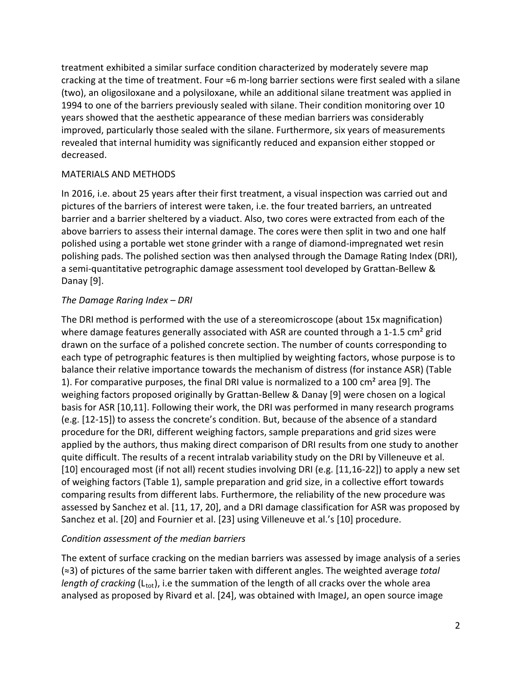treatment exhibited a similar surface condition characterized by moderately severe map cracking at the time of treatment. Four  $\approx$ 6 m-long barrier sections were first sealed with a silane (two), an oligosiloxane and a polysiloxane, while an additional silane treatment was applied in 1994 to one of the barriers previously sealed with silane. Their condition monitoring over 10 years showed that the aesthetic appearance of these median barriers was considerably improved, particularly those sealed with the silane. Furthermore, six years of measurements revealed that internal humidity was significantly reduced and expansion either stopped or decreased.

#### MATERIALS AND METHODS

In 2016, i.e. about 25 years after their first treatment, a visual inspection was carried out and pictures of the barriers of interest were taken, i.e. the four treated barriers, an untreated barrier and a barrier sheltered by a viaduct. Also, two cores were extracted from each of the above barriers to assess their internal damage. The cores were then split in two and one half polished using a portable wet stone grinder with a range of diamond-impregnated wet resin polishing pads. The polished section was then analysed through the Damage Rating Index (DRI), a semi-quantitative petrographic damage assessment tool developed by Grattan-Bellew & Danay [9].

# *The Damage Raring Index – DRI*

The DRI method is performed with the use of a stereomicroscope (about 15x magnification) where damage features generally associated with ASR are counted through a 1-1.5 cm<sup>2</sup> grid drawn on the surface of a polished concrete section. The number of counts corresponding to each type of petrographic features is then multiplied by weighting factors, whose purpose is to balance their relative importance towards the mechanism of distress (for instance ASR) (Table 1). For comparative purposes, the final DRI value is normalized to a 100 cm² area [9]. The weighing factors proposed originally by Grattan-Bellew & Danay [9] were chosen on a logical basis for ASR [10,11]. Following their work, the DRI was performed in many research programs (e.g. [12-15]) to assess the concrete's condition. But, because of the absence of a standard procedure for the DRI, different weighing factors, sample preparations and grid sizes were applied by the authors, thus making direct comparison of DRI results from one study to another quite difficult. The results of a recent intralab variability study on the DRI by Villeneuve et al. [10] encouraged most (if not all) recent studies involving DRI (e.g. [11,16-22]) to apply a new set of weighing factors (Table 1), sample preparation and grid size, in a collective effort towards comparing results from different labs. Furthermore, the reliability of the new procedure was assessed by Sanchez et al. [11, 17, 20], and a DRI damage classification for ASR was proposed by Sanchez et al. [20] and Fournier et al. [23] using Villeneuve et al.'s [10] procedure.

# *Condition assessment of the median barriers*

The extent of surface cracking on the median barriers was assessed by image analysis of a series (≈3) of pictures of the same barrier taken with different angles. The weighted average *total length of cracking* (L<sub>tot</sub>), i.e the summation of the length of all cracks over the whole area analysed as proposed by Rivard et al. [24], was obtained with ImageJ, an open source image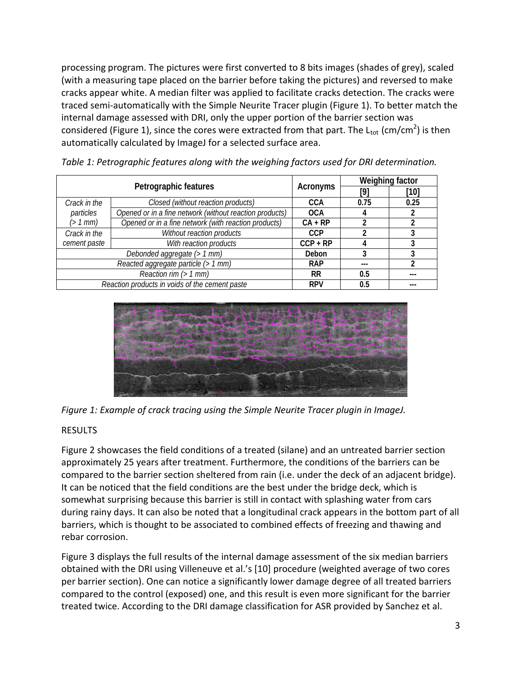processing program. The pictures were first converted to 8 bits images (shades of grey), scaled (with a measuring tape placed on the barrier before taking the pictures) and reversed to make cracks appear white. A median filter was applied to facilitate cracks detection. The cracks were traced semi-automatically with the Simple Neurite Tracer plugin (Figure 1). To better match the internal damage assessed with DRI, only the upper portion of the barrier section was considered (Figure 1), since the cores were extracted from that part. The L<sub>tot</sub> (cm/cm<sup>2</sup>) is then automatically calculated by ImageJ for a selected surface area.

| Petrographic features                          |                                                         | Acronyms   | Weighing factor |      |
|------------------------------------------------|---------------------------------------------------------|------------|-----------------|------|
|                                                |                                                         |            | [9]             | [10] |
| Crack in the                                   | Closed (without reaction products)                      | CCA        | 0.75            | 0.25 |
| particles                                      | Opened or in a fine network (without reaction products) | <b>OCA</b> |                 |      |
| (> 1 mm)                                       | Opened or in a fine network (with reaction products)    | $CA + RP$  |                 |      |
| Crack in the                                   | Without reaction products                               | CCP        |                 |      |
| cement paste                                   | With reaction products                                  | $CCP + RP$ |                 | 3    |
| Debonded aggregate (> 1 mm)                    |                                                         | Debon      |                 |      |
| Reacted aggregate particle (> 1 mm)            |                                                         | <b>RAP</b> | ---             | 2    |
| Reaction rim $($ 1 mm $)$                      |                                                         | RR         | 0.5             |      |
| Reaction products in voids of the cement paste |                                                         | <b>RPV</b> | 0.5             |      |

*Table 1: Petrographic features along with the weighing factors used for DRI determination.*





# RESULTS

Figure 2 showcases the field conditions of a treated (silane) and an untreated barrier section approximately 25 years after treatment. Furthermore, the conditions of the barriers can be compared to the barrier section sheltered from rain (i.e. under the deck of an adjacent bridge). It can be noticed that the field conditions are the best under the bridge deck, which is somewhat surprising because this barrier is still in contact with splashing water from cars during rainy days. It can also be noted that a longitudinal crack appears in the bottom part of all barriers, which is thought to be associated to combined effects of freezing and thawing and rebar corrosion.

Figure 3 displays the full results of the internal damage assessment of the six median barriers obtained with the DRI using Villeneuve et al.'s [10] procedure (weighted average of two cores per barrier section). One can notice a significantly lower damage degree of all treated barriers compared to the control (exposed) one, and this result is even more significant for the barrier treated twice. According to the DRI damage classification for ASR provided by Sanchez et al.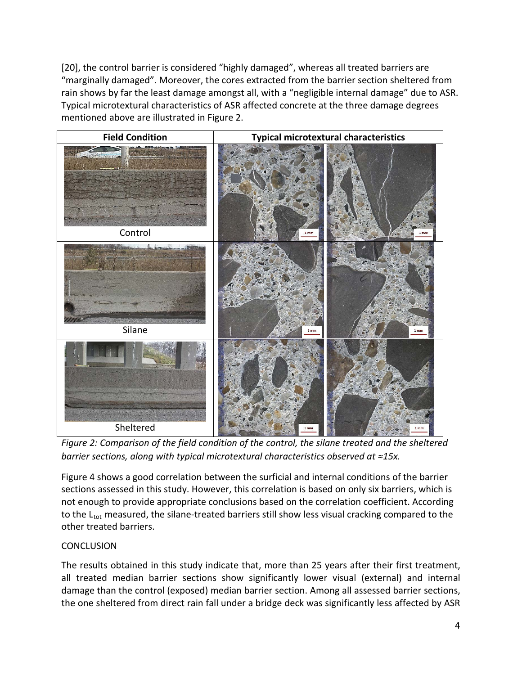[20], the control barrier is considered "highly damaged", whereas all treated barriers are "marginally damaged". Moreover, the cores extracted from the barrier section sheltered from rain shows by far the least damage amongst all, with a "negligible internal damage" due to ASR. Typical microtextural characteristics of ASR affected concrete at the three damage degrees mentioned above are illustrated in Figure 2.



*Figure 2: Comparison of the field condition of the control, the silane treated and the sheltered barrier sections, along with typical microtextural characteristics observed at ≈15x.*

Figure 4 shows a good correlation between the surficial and internal conditions of the barrier sections assessed in this study. However, this correlation is based on only six barriers, which is not enough to provide appropriate conclusions based on the correlation coefficient. According to the  $L_{\text{tot}}$  measured, the silane-treated barriers still show less visual cracking compared to the other treated barriers.

# **CONCLUSION**

The results obtained in this study indicate that, more than 25 years after their first treatment, all treated median barrier sections show significantly lower visual (external) and internal damage than the control (exposed) median barrier section. Among all assessed barrier sections, the one sheltered from direct rain fall under a bridge deck was significantly less affected by ASR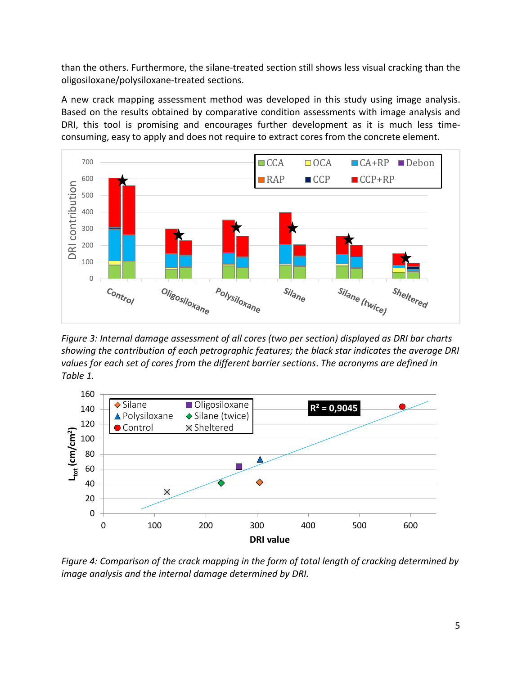than the others. Furthermore, the silane-treated section still shows less visual cracking than the oligosiloxane/polysiloxane-treated sections.

A new crack mapping assessment method was developed in this study using image analysis. Based on the results obtained by comparative condition assessments with image analysis and DRI, this tool is promising and encourages further development as it is much less timeconsuming, easy to apply and does not require to extract cores from the concrete element.



*Figure 3: Internal damage assessment of all cores (two per section) displayed as DRI bar charts showing the contribution of each petrographic features; the black star indicates the average DRI values for each set of cores from the different barrier sections*. *The acronyms are defined in Table 1.*



*Figure 4: Comparison of the crack mapping in the form of total length of cracking determined by image analysis and the internal damage determined by DRI.*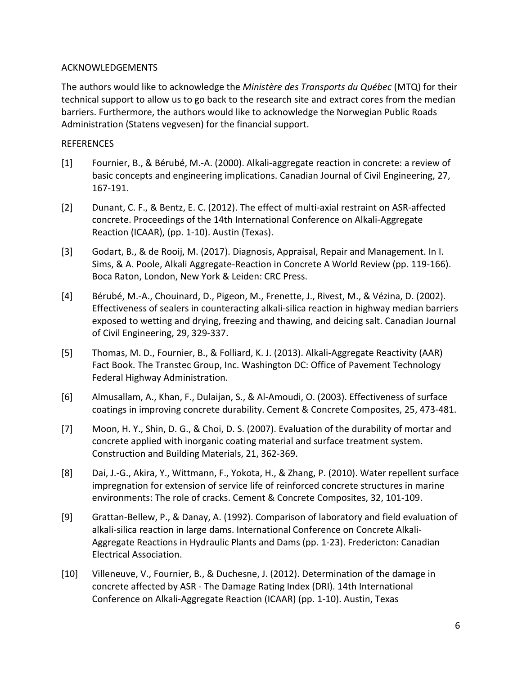#### ACKNOWLEDGEMENTS

The authors would like to acknowledge the *Ministère des Transports du Québec* (MTQ) for their technical support to allow us to go back to the research site and extract cores from the median barriers. Furthermore, the authors would like to acknowledge the Norwegian Public Roads Administration (Statens vegvesen) for the financial support.

#### REFERENCES

- [1] Fournier, B., & Bérubé, M.-A. (2000). Alkali-aggregate reaction in concrete: a review of basic concepts and engineering implications. Canadian Journal of Civil Engineering, 27, 167-191.
- [2] Dunant, C. F., & Bentz, E. C. (2012). The effect of multi-axial restraint on ASR-affected concrete. Proceedings of the 14th International Conference on Alkali-Aggregate Reaction (ICAAR), (pp. 1-10). Austin (Texas).
- [3] Godart, B., & de Rooij, M. (2017). Diagnosis, Appraisal, Repair and Management. In I. Sims, & A. Poole, Alkali Aggregate-Reaction in Concrete A World Review (pp. 119-166). Boca Raton, London, New York & Leiden: CRC Press.
- [4] Bérubé, M.-A., Chouinard, D., Pigeon, M., Frenette, J., Rivest, M., & Vézina, D. (2002). Effectiveness of sealers in counteracting alkali-silica reaction in highway median barriers exposed to wetting and drying, freezing and thawing, and deicing salt. Canadian Journal of Civil Engineering, 29, 329-337.
- [5] Thomas, M. D., Fournier, B., & Folliard, K. J. (2013). Alkali-Aggregate Reactivity (AAR) Fact Book. The Transtec Group, Inc. Washington DC: Office of Pavement Technology Federal Highway Administration.
- [6] Almusallam, A., Khan, F., Dulaijan, S., & Al-Amoudi, O. (2003). Effectiveness of surface coatings in improving concrete durability. Cement & Concrete Composites, 25, 473-481.
- [7] Moon, H. Y., Shin, D. G., & Choi, D. S. (2007). Evaluation of the durability of mortar and concrete applied with inorganic coating material and surface treatment system. Construction and Building Materials, 21, 362-369.
- [8] Dai, J.-G., Akira, Y., Wittmann, F., Yokota, H., & Zhang, P. (2010). Water repellent surface impregnation for extension of service life of reinforced concrete structures in marine environments: The role of cracks. Cement & Concrete Composites, 32, 101-109.
- [9] Grattan-Bellew, P., & Danay, A. (1992). Comparison of laboratory and field evaluation of alkali-silica reaction in large dams. International Conference on Concrete Alkali-Aggregate Reactions in Hydraulic Plants and Dams (pp. 1-23). Fredericton: Canadian Electrical Association.
- [10] Villeneuve, V., Fournier, B., & Duchesne, J. (2012). Determination of the damage in concrete affected by ASR - The Damage Rating Index (DRI). 14th International Conference on Alkali-Aggregate Reaction (ICAAR) (pp. 1-10). Austin, Texas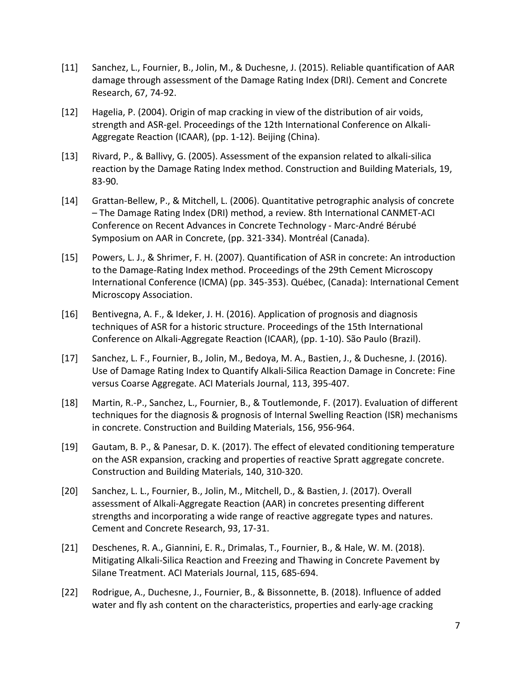- [11] Sanchez, L., Fournier, B., Jolin, M., & Duchesne, J. (2015). Reliable quantification of AAR damage through assessment of the Damage Rating Index (DRI). Cement and Concrete Research, 67, 74-92.
- [12] Hagelia, P. (2004). Origin of map cracking in view of the distribution of air voids, strength and ASR-gel. Proceedings of the 12th International Conference on Alkali-Aggregate Reaction (ICAAR), (pp. 1-12). Beijing (China).
- [13] Rivard, P., & Ballivy, G. (2005). Assessment of the expansion related to alkali-silica reaction by the Damage Rating Index method. Construction and Building Materials, 19, 83-90.
- [14] Grattan-Bellew, P., & Mitchell, L. (2006). Quantitative petrographic analysis of concrete – The Damage Rating Index (DRI) method, a review. 8th International CANMET-ACI Conference on Recent Advances in Concrete Technology - Marc-André Bérubé Symposium on AAR in Concrete, (pp. 321-334). Montréal (Canada).
- [15] Powers, L. J., & Shrimer, F. H. (2007). Quantification of ASR in concrete: An introduction to the Damage-Rating Index method. Proceedings of the 29th Cement Microscopy International Conference (ICMA) (pp. 345-353). Québec, (Canada): International Cement Microscopy Association.
- [16] Bentivegna, A. F., & Ideker, J. H. (2016). Application of prognosis and diagnosis techniques of ASR for a historic structure. Proceedings of the 15th International Conference on Alkali-Aggregate Reaction (ICAAR), (pp. 1-10). São Paulo (Brazil).
- [17] Sanchez, L. F., Fournier, B., Jolin, M., Bedoya, M. A., Bastien, J., & Duchesne, J. (2016). Use of Damage Rating Index to Quantify Alkali-Silica Reaction Damage in Concrete: Fine versus Coarse Aggregate. ACI Materials Journal, 113, 395-407.
- [18] Martin, R.-P., Sanchez, L., Fournier, B., & Toutlemonde, F. (2017). Evaluation of different techniques for the diagnosis & prognosis of Internal Swelling Reaction (ISR) mechanisms in concrete. Construction and Building Materials, 156, 956-964.
- [19] Gautam, B. P., & Panesar, D. K. (2017). The effect of elevated conditioning temperature on the ASR expansion, cracking and properties of reactive Spratt aggregate concrete. Construction and Building Materials, 140, 310-320.
- [20] Sanchez, L. L., Fournier, B., Jolin, M., Mitchell, D., & Bastien, J. (2017). Overall assessment of Alkali-Aggregate Reaction (AAR) in concretes presenting different strengths and incorporating a wide range of reactive aggregate types and natures. Cement and Concrete Research, 93, 17-31.
- [21] Deschenes, R. A., Giannini, E. R., Drimalas, T., Fournier, B., & Hale, W. M. (2018). Mitigating Alkali-Silica Reaction and Freezing and Thawing in Concrete Pavement by Silane Treatment. ACI Materials Journal, 115, 685-694.
- [22] Rodrigue, A., Duchesne, J., Fournier, B., & Bissonnette, B. (2018). Influence of added water and fly ash content on the characteristics, properties and early-age cracking